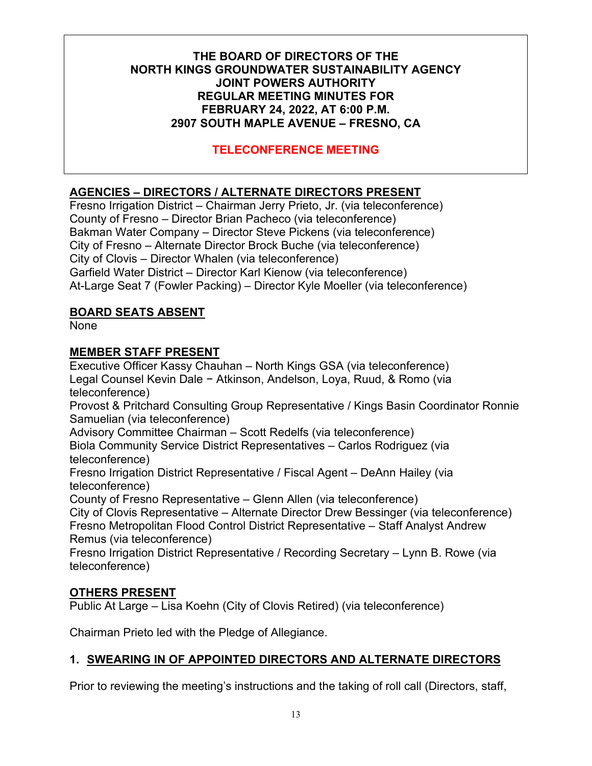# **TELECONFERENCE MEETING**

# **AGENCIES ‒ DIRECTORS / ALTERNATE DIRECTORS PRESENT**

Fresno Irrigation District – Chairman Jerry Prieto, Jr. (via teleconference) County of Fresno – Director Brian Pacheco (via teleconference) Bakman Water Company – Director Steve Pickens (via teleconference) City of Fresno – Alternate Director Brock Buche (via teleconference) City of Clovis – Director Whalen (via teleconference) Garfield Water District – Director Karl Kienow (via teleconference) At-Large Seat 7 (Fowler Packing) – Director Kyle Moeller (via teleconference)

#### **BOARD SEATS ABSENT**

None

#### **MEMBER STAFF PRESENT**

Executive Officer Kassy Chauhan – North Kings GSA (via teleconference) Legal Counsel Kevin Dale − Atkinson, Andelson, Loya, Ruud, & Romo (via teleconference) Provost & Pritchard Consulting Group Representative / Kings Basin Coordinator Ronnie Samuelian (via teleconference) Advisory Committee Chairman – Scott Redelfs (via teleconference) Biola Community Service District Representatives – Carlos Rodriguez (via teleconference) Fresno Irrigation District Representative / Fiscal Agent – DeAnn Hailey (via teleconference) County of Fresno Representative – Glenn Allen (via teleconference) City of Clovis Representative – Alternate Director Drew Bessinger (via teleconference) Fresno Metropolitan Flood Control District Representative – Staff Analyst Andrew Remus (via teleconference) Fresno Irrigation District Representative / Recording Secretary – Lynn B. Rowe (via teleconference)

### **OTHERS PRESENT**

Public At Large – Lisa Koehn (City of Clovis Retired) (via teleconference)

Chairman Prieto led with the Pledge of Allegiance.

### **1. SWEARING IN OF APPOINTED DIRECTORS AND ALTERNATE DIRECTORS**

Prior to reviewing the meeting's instructions and the taking of roll call (Directors, staff,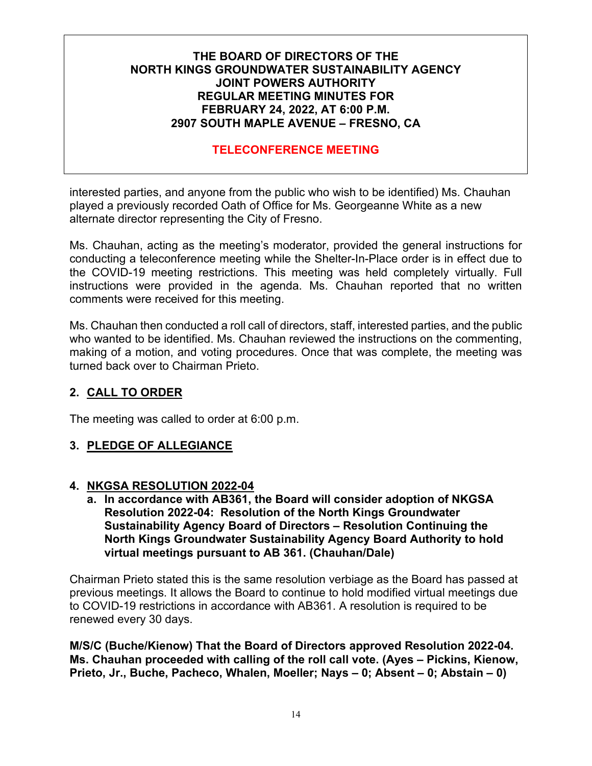# **TELECONFERENCE MEETING**

interested parties, and anyone from the public who wish to be identified) Ms. Chauhan played a previously recorded Oath of Office for Ms. Georgeanne White as a new alternate director representing the City of Fresno.

Ms. Chauhan, acting as the meeting's moderator, provided the general instructions for conducting a teleconference meeting while the Shelter-In-Place order is in effect due to the COVID-19 meeting restrictions. This meeting was held completely virtually. Full instructions were provided in the agenda. Ms. Chauhan reported that no written comments were received for this meeting.

Ms. Chauhan then conducted a roll call of directors, staff, interested parties, and the public who wanted to be identified. Ms. Chauhan reviewed the instructions on the commenting, making of a motion, and voting procedures. Once that was complete, the meeting was turned back over to Chairman Prieto.

### **2. CALL TO ORDER**

The meeting was called to order at 6:00 p.m.

### **3. PLEDGE OF ALLEGIANCE**

#### **4. NKGSA RESOLUTION 2022-04**

**a. In accordance with AB361, the Board will consider adoption of NKGSA Resolution 2022-04: Resolution of the North Kings Groundwater Sustainability Agency Board of Directors – Resolution Continuing the North Kings Groundwater Sustainability Agency Board Authority to hold virtual meetings pursuant to AB 361. (Chauhan/Dale)**

Chairman Prieto stated this is the same resolution verbiage as the Board has passed at previous meetings. It allows the Board to continue to hold modified virtual meetings due to COVID-19 restrictions in accordance with AB361. A resolution is required to be renewed every 30 days.

**M/S/C (Buche/Kienow) That the Board of Directors approved Resolution 2022-04. Ms. Chauhan proceeded with calling of the roll call vote. (Ayes – Pickins, Kienow, Prieto, Jr., Buche, Pacheco, Whalen, Moeller; Nays – 0; Absent – 0; Abstain – 0)**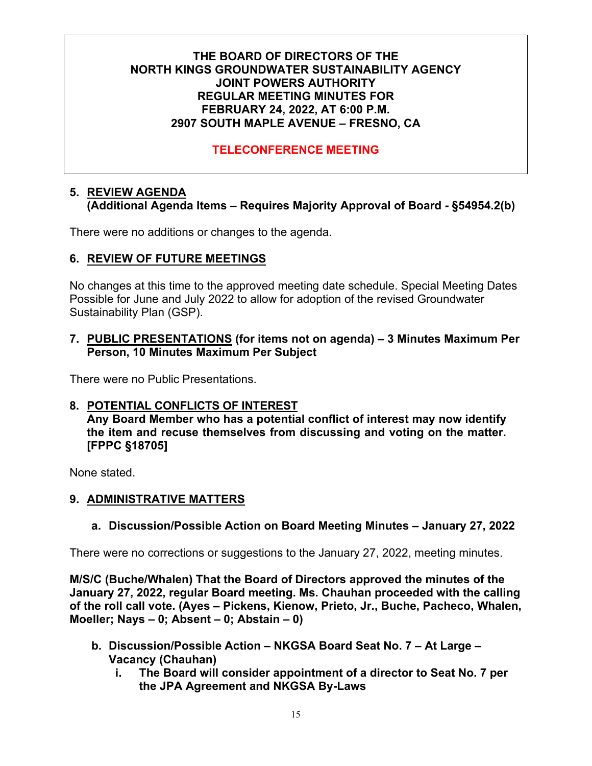# **TELECONFERENCE MEETING**

#### **5. REVIEW AGENDA (Additional Agenda Items – Requires Majority Approval of Board - §54954.2(b)**

There were no additions or changes to the agenda.

### **6. REVIEW OF FUTURE MEETINGS**

No changes at this time to the approved meeting date schedule. Special Meeting Dates Possible for June and July 2022 to allow for adoption of the revised Groundwater Sustainability Plan (GSP).

#### **7. PUBLIC PRESENTATIONS (for items not on agenda) – 3 Minutes Maximum Per Person, 10 Minutes Maximum Per Subject**

There were no Public Presentations.

### **8. POTENTIAL CONFLICTS OF INTEREST**

**Any Board Member who has a potential conflict of interest may now identify the item and recuse themselves from discussing and voting on the matter. [FPPC §18705]**

None stated.

#### **9. ADMINISTRATIVE MATTERS**

### **a. Discussion/Possible Action on Board Meeting Minutes – January 27, 2022**

There were no corrections or suggestions to the January 27, 2022, meeting minutes.

**M/S/C (Buche/Whalen) That the Board of Directors approved the minutes of the January 27, 2022, regular Board meeting. Ms. Chauhan proceeded with the calling of the roll call vote. (Ayes – Pickens, Kienow, Prieto, Jr., Buche, Pacheco, Whalen, Moeller; Nays – 0; Absent – 0; Abstain – 0)**

- **b. Discussion/Possible Action – NKGSA Board Seat No. 7 – At Large – Vacancy (Chauhan)**
	- **i. The Board will consider appointment of a director to Seat No. 7 per the JPA Agreement and NKGSA By-Laws**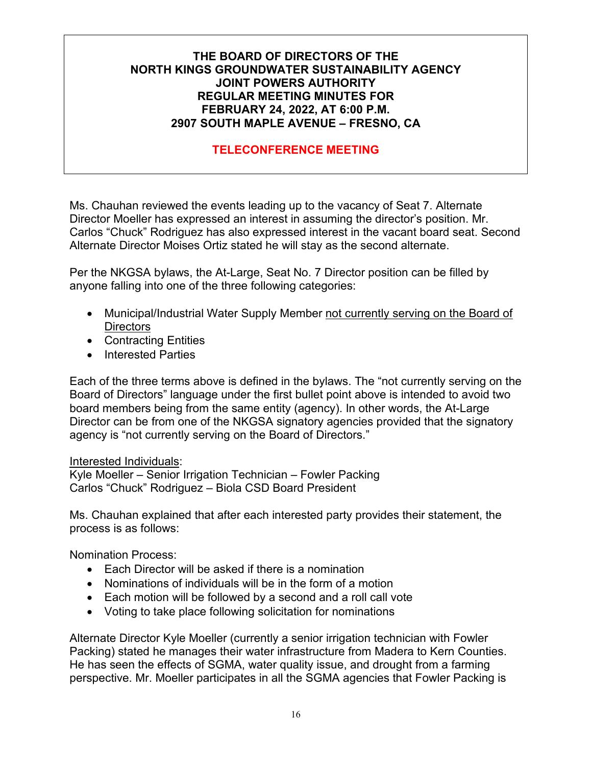# **TELECONFERENCE MEETING**

Ms. Chauhan reviewed the events leading up to the vacancy of Seat 7. Alternate Director Moeller has expressed an interest in assuming the director's position. Mr. Carlos "Chuck" Rodriguez has also expressed interest in the vacant board seat. Second Alternate Director Moises Ortiz stated he will stay as the second alternate.

Per the NKGSA bylaws, the At-Large, Seat No. 7 Director position can be filled by anyone falling into one of the three following categories:

- Municipal/Industrial Water Supply Member not currently serving on the Board of **Directors**
- Contracting Entities
- Interested Parties

Each of the three terms above is defined in the bylaws. The "not currently serving on the Board of Directors" language under the first bullet point above is intended to avoid two board members being from the same entity (agency). In other words, the At-Large Director can be from one of the NKGSA signatory agencies provided that the signatory agency is "not currently serving on the Board of Directors."

#### Interested Individuals:

Kyle Moeller – Senior Irrigation Technician – Fowler Packing Carlos "Chuck" Rodriguez – Biola CSD Board President

Ms. Chauhan explained that after each interested party provides their statement, the process is as follows:

Nomination Process:

- Each Director will be asked if there is a nomination
- Nominations of individuals will be in the form of a motion
- Each motion will be followed by a second and a roll call vote
- Voting to take place following solicitation for nominations

Alternate Director Kyle Moeller (currently a senior irrigation technician with Fowler Packing) stated he manages their water infrastructure from Madera to Kern Counties. He has seen the effects of SGMA, water quality issue, and drought from a farming perspective. Mr. Moeller participates in all the SGMA agencies that Fowler Packing is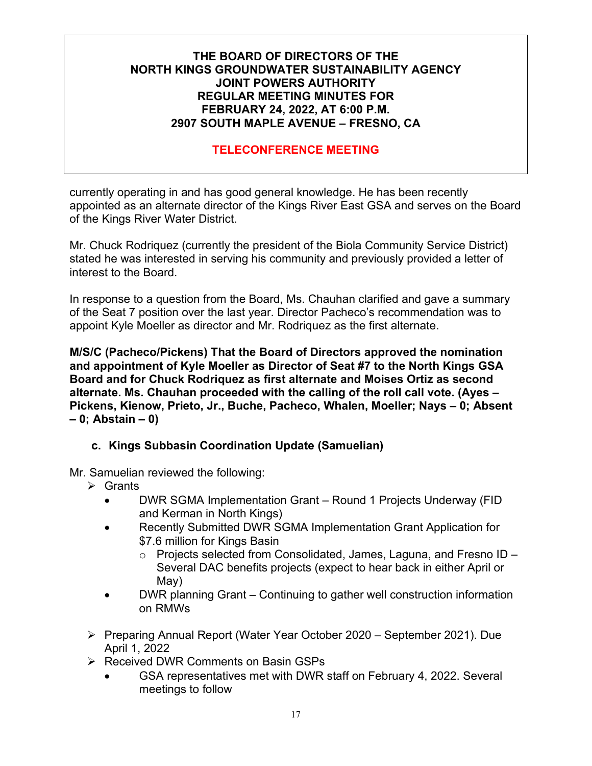# **TELECONFERENCE MEETING**

currently operating in and has good general knowledge. He has been recently appointed as an alternate director of the Kings River East GSA and serves on the Board of the Kings River Water District.

Mr. Chuck Rodriquez (currently the president of the Biola Community Service District) stated he was interested in serving his community and previously provided a letter of interest to the Board.

In response to a question from the Board, Ms. Chauhan clarified and gave a summary of the Seat 7 position over the last year. Director Pacheco's recommendation was to appoint Kyle Moeller as director and Mr. Rodriquez as the first alternate.

**M/S/C (Pacheco/Pickens) That the Board of Directors approved the nomination and appointment of Kyle Moeller as Director of Seat #7 to the North Kings GSA Board and for Chuck Rodriquez as first alternate and Moises Ortiz as second alternate. Ms. Chauhan proceeded with the calling of the roll call vote. (Ayes – Pickens, Kienow, Prieto, Jr., Buche, Pacheco, Whalen, Moeller; Nays – 0; Absent – 0; Abstain – 0)**

### **c. Kings Subbasin Coordination Update (Samuelian)**

Mr. Samuelian reviewed the following:

- $\triangleright$  Grants
	- DWR SGMA Implementation Grant Round 1 Projects Underway (FID and Kerman in North Kings)
	- Recently Submitted DWR SGMA Implementation Grant Application for \$7.6 million for Kings Basin
		- $\circ$  Projects selected from Consolidated, James, Laguna, and Fresno ID Several DAC benefits projects (expect to hear back in either April or May)
	- DWR planning Grant Continuing to gather well construction information on RMWs
- ▶ Preparing Annual Report (Water Year October 2020 September 2021). Due April 1, 2022
- **EXECCIVED FIGURE COMMENTS ON BASIN GSPS** 
	- GSA representatives met with DWR staff on February 4, 2022. Several meetings to follow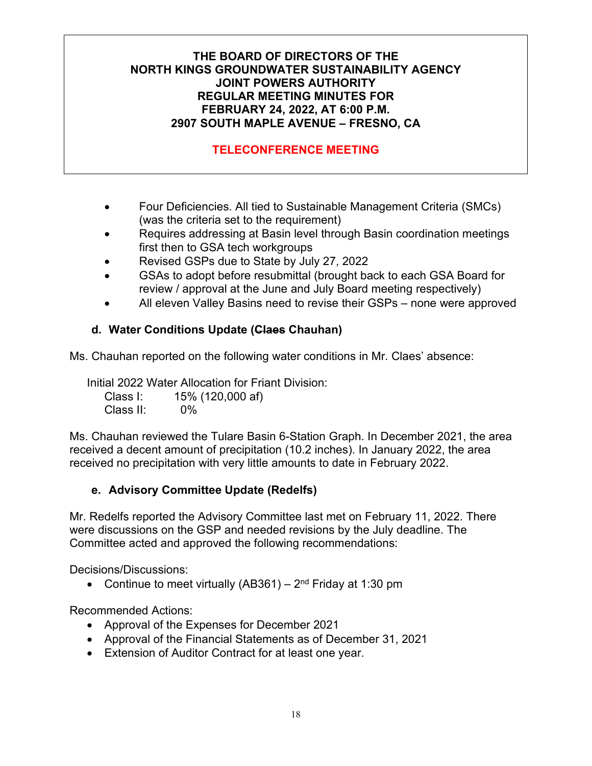# **TELECONFERENCE MEETING**

- Four Deficiencies. All tied to Sustainable Management Criteria (SMCs) (was the criteria set to the requirement)
- Requires addressing at Basin level through Basin coordination meetings first then to GSA tech workgroups
- Revised GSPs due to State by July 27, 2022
- GSAs to adopt before resubmittal (brought back to each GSA Board for review / approval at the June and July Board meeting respectively)
- All eleven Valley Basins need to revise their GSPs none were approved

### **d. Water Conditions Update (Claes Chauhan)**

Ms. Chauhan reported on the following water conditions in Mr. Claes' absence:

Initial 2022 Water Allocation for Friant Division: Class I: 15% (120,000 af) Class II: 0%

Ms. Chauhan reviewed the Tulare Basin 6-Station Graph. In December 2021, the area received a decent amount of precipitation (10.2 inches). In January 2022, the area received no precipitation with very little amounts to date in February 2022.

### **e. Advisory Committee Update (Redelfs)**

Mr. Redelfs reported the Advisory Committee last met on February 11, 2022. There were discussions on the GSP and needed revisions by the July deadline. The Committee acted and approved the following recommendations:

Decisions/Discussions:

• Continue to meet virtually (AB361) –  $2<sup>nd</sup>$  Friday at 1:30 pm

Recommended Actions:

- Approval of the Expenses for December 2021
- Approval of the Financial Statements as of December 31, 2021
- Extension of Auditor Contract for at least one year.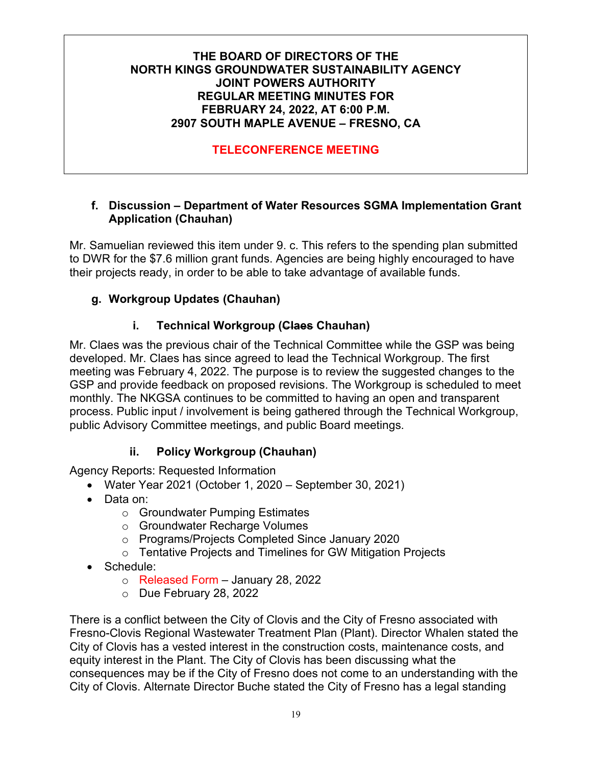# **TELECONFERENCE MEETING**

#### **f. Discussion – Department of Water Resources SGMA Implementation Grant Application (Chauhan)**

Mr. Samuelian reviewed this item under 9. c. This refers to the spending plan submitted to DWR for the \$7.6 million grant funds. Agencies are being highly encouraged to have their projects ready, in order to be able to take advantage of available funds.

# **g. Workgroup Updates (Chauhan)**

### **i. Technical Workgroup (Claes Chauhan)**

Mr. Claes was the previous chair of the Technical Committee while the GSP was being developed. Mr. Claes has since agreed to lead the Technical Workgroup. The first meeting was February 4, 2022. The purpose is to review the suggested changes to the GSP and provide feedback on proposed revisions. The Workgroup is scheduled to meet monthly. The NKGSA continues to be committed to having an open and transparent process. Public input / involvement is being gathered through the Technical Workgroup, public Advisory Committee meetings, and public Board meetings.

### **ii. Policy Workgroup (Chauhan)**

Agency Reports: Requested Information

- Water Year 2021 (October 1, 2020 September 30, 2021)
- Data on:
	- o Groundwater Pumping Estimates
	- o Groundwater Recharge Volumes
	- o Programs/Projects Completed Since January 2020
	- o Tentative Projects and Timelines for GW Mitigation Projects
- Schedule:
	- o Released Form January 28, 2022
	- o Due February 28, 2022

There is a conflict between the City of Clovis and the City of Fresno associated with Fresno-Clovis Regional Wastewater Treatment Plan (Plant). Director Whalen stated the City of Clovis has a vested interest in the construction costs, maintenance costs, and equity interest in the Plant. The City of Clovis has been discussing what the consequences may be if the City of Fresno does not come to an understanding with the City of Clovis. Alternate Director Buche stated the City of Fresno has a legal standing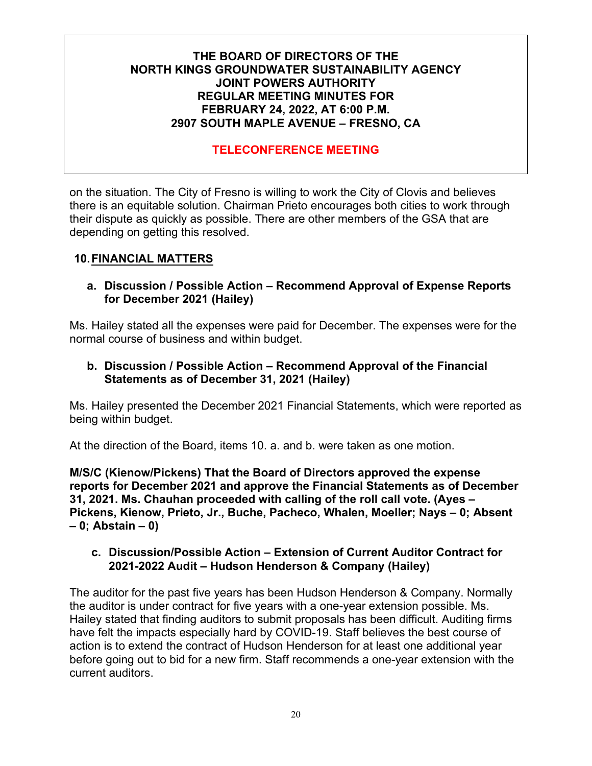# **TELECONFERENCE MEETING**

on the situation. The City of Fresno is willing to work the City of Clovis and believes there is an equitable solution. Chairman Prieto encourages both cities to work through their dispute as quickly as possible. There are other members of the GSA that are depending on getting this resolved.

### **10.FINANCIAL MATTERS**

#### **a. Discussion / Possible Action – Recommend Approval of Expense Reports for December 2021 (Hailey)**

Ms. Hailey stated all the expenses were paid for December. The expenses were for the normal course of business and within budget.

#### **b. Discussion / Possible Action – Recommend Approval of the Financial Statements as of December 31, 2021 (Hailey)**

Ms. Hailey presented the December 2021 Financial Statements, which were reported as being within budget.

At the direction of the Board, items 10. a. and b. were taken as one motion.

**M/S/C (Kienow/Pickens) That the Board of Directors approved the expense reports for December 2021 and approve the Financial Statements as of December 31, 2021. Ms. Chauhan proceeded with calling of the roll call vote. (Ayes – Pickens, Kienow, Prieto, Jr., Buche, Pacheco, Whalen, Moeller; Nays – 0; Absent – 0; Abstain – 0)**

#### **c. Discussion/Possible Action – Extension of Current Auditor Contract for 2021-2022 Audit – Hudson Henderson & Company (Hailey)**

The auditor for the past five years has been Hudson Henderson & Company. Normally the auditor is under contract for five years with a one-year extension possible. Ms. Hailey stated that finding auditors to submit proposals has been difficult. Auditing firms have felt the impacts especially hard by COVID-19. Staff believes the best course of action is to extend the contract of Hudson Henderson for at least one additional year before going out to bid for a new firm. Staff recommends a one-year extension with the current auditors.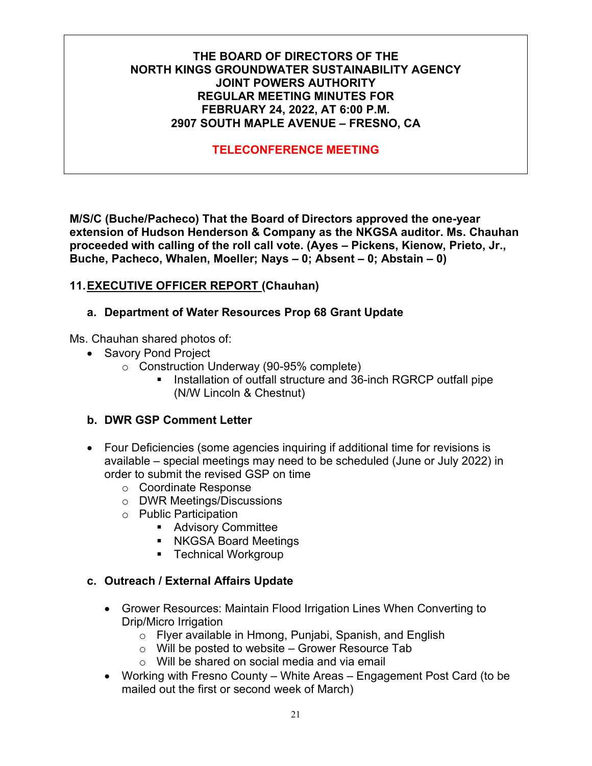# **TELECONFERENCE MEETING**

**M/S/C (Buche/Pacheco) That the Board of Directors approved the one-year extension of Hudson Henderson & Company as the NKGSA auditor. Ms. Chauhan proceeded with calling of the roll call vote. (Ayes – Pickens, Kienow, Prieto, Jr., Buche, Pacheco, Whalen, Moeller; Nays – 0; Absent – 0; Abstain – 0)**

### **11.EXECUTIVE OFFICER REPORT (Chauhan)**

### **a. Department of Water Resources Prop 68 Grant Update**

Ms. Chauhan shared photos of:

- Savory Pond Project
	- o Construction Underway (90-95% complete)
		- Installation of outfall structure and 36-inch RGRCP outfall pipe (N/W Lincoln & Chestnut)

### **b. DWR GSP Comment Letter**

- Four Deficiencies (some agencies inquiring if additional time for revisions is available – special meetings may need to be scheduled (June or July 2022) in order to submit the revised GSP on time
	- o Coordinate Response
	- o DWR Meetings/Discussions
	- o Public Participation
		- **Advisory Committee**
		- **NKGSA Board Meetings**
		- **Technical Workgroup**

#### **c. Outreach / External Affairs Update**

- Grower Resources: Maintain Flood Irrigation Lines When Converting to Drip/Micro Irrigation
	- o Flyer available in Hmong, Punjabi, Spanish, and English
	- $\circ$  Will be posted to website Grower Resource Tab
	- o Will be shared on social media and via email
- Working with Fresno County White Areas Engagement Post Card (to be mailed out the first or second week of March)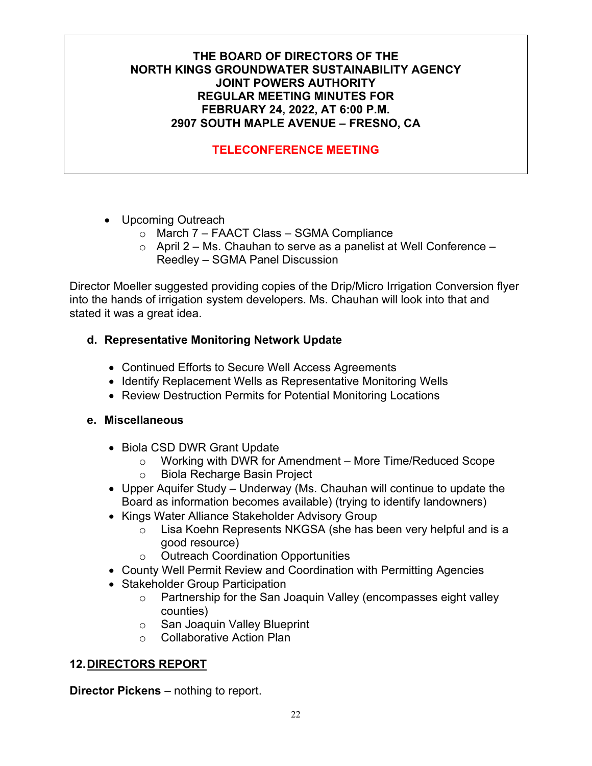# **TELECONFERENCE MEETING**

- Upcoming Outreach
	- o March 7 FAACT Class SGMA Compliance
	- $\circ$  April 2 Ms. Chauhan to serve as a panelist at Well Conference Reedley – SGMA Panel Discussion

Director Moeller suggested providing copies of the Drip/Micro Irrigation Conversion flyer into the hands of irrigation system developers. Ms. Chauhan will look into that and stated it was a great idea.

### **d. Representative Monitoring Network Update**

- Continued Efforts to Secure Well Access Agreements
- Identify Replacement Wells as Representative Monitoring Wells
- Review Destruction Permits for Potential Monitoring Locations

### **e. Miscellaneous**

- Biola CSD DWR Grant Update
	- o Working with DWR for Amendment More Time/Reduced Scope
	- o Biola Recharge Basin Project
- Upper Aquifer Study Underway (Ms. Chauhan will continue to update the Board as information becomes available) (trying to identify landowners)
- Kings Water Alliance Stakeholder Advisory Group
	- o Lisa Koehn Represents NKGSA (she has been very helpful and is a good resource)
	- o Outreach Coordination Opportunities
- County Well Permit Review and Coordination with Permitting Agencies
- Stakeholder Group Participation
	- o Partnership for the San Joaquin Valley (encompasses eight valley counties)
	- o San Joaquin Valley Blueprint
	- o Collaborative Action Plan

# **12.DIRECTORS REPORT**

**Director Pickens** – nothing to report.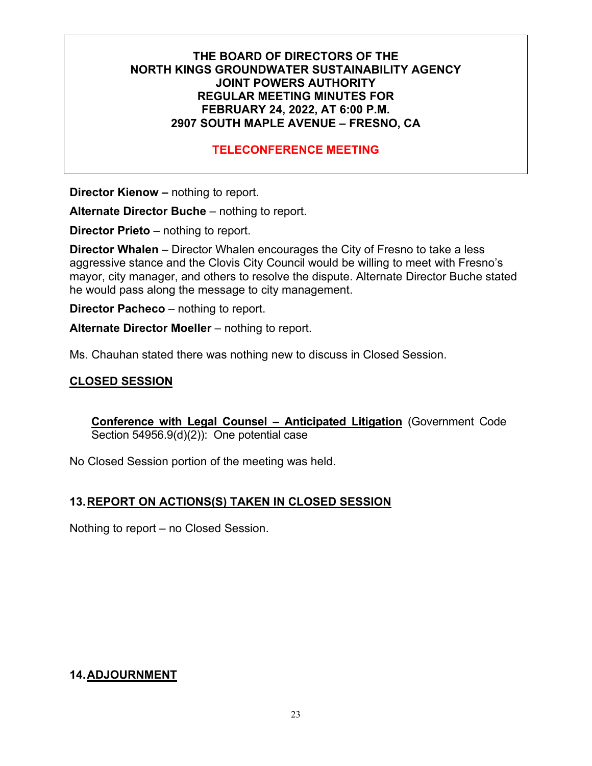### **TELECONFERENCE MEETING**

**Director Kienow –** nothing to report.

**Alternate Director Buche** – nothing to report.

**Director Prieto** – nothing to report.

**Director Whalen** – Director Whalen encourages the City of Fresno to take a less aggressive stance and the Clovis City Council would be willing to meet with Fresno's mayor, city manager, and others to resolve the dispute. Alternate Director Buche stated he would pass along the message to city management.

**Director Pacheco** – nothing to report.

**Alternate Director Moeller** – nothing to report.

Ms. Chauhan stated there was nothing new to discuss in Closed Session.

#### **CLOSED SESSION**

**Conference with Legal Counsel – Anticipated Litigation** (Government Code Section 54956.9(d)(2)): One potential case

No Closed Session portion of the meeting was held.

#### **13.REPORT ON ACTIONS(S) TAKEN IN CLOSED SESSION**

Nothing to report – no Closed Session.

### **14.ADJOURNMENT**